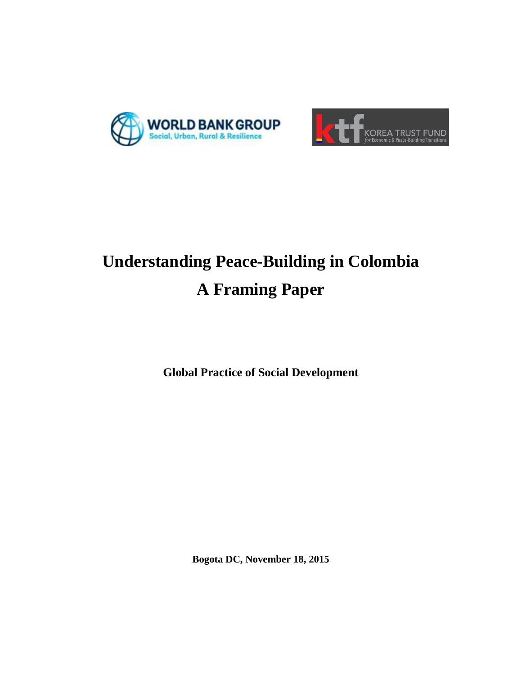



# **Understanding Peace-Building in Colombia A Framing Paper**

**Global Practice of Social Development**

**Bogota DC, November 18, 2015**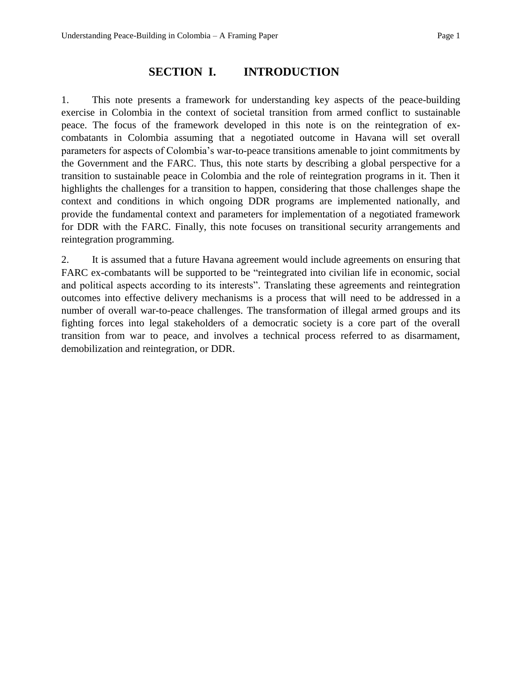## **SECTION I. INTRODUCTION**

1. This note presents a framework for understanding key aspects of the peace-building exercise in Colombia in the context of societal transition from armed conflict to sustainable peace. The focus of the framework developed in this note is on the reintegration of excombatants in Colombia assuming that a negotiated outcome in Havana will set overall parameters for aspects of Colombia's war-to-peace transitions amenable to joint commitments by the Government and the FARC. Thus, this note starts by describing a global perspective for a transition to sustainable peace in Colombia and the role of reintegration programs in it. Then it highlights the challenges for a transition to happen, considering that those challenges shape the context and conditions in which ongoing DDR programs are implemented nationally, and provide the fundamental context and parameters for implementation of a negotiated framework for DDR with the FARC. Finally, this note focuses on transitional security arrangements and reintegration programming.

2. It is assumed that a future Havana agreement would include agreements on ensuring that FARC ex-combatants will be supported to be "reintegrated into civilian life in economic, social and political aspects according to its interests". Translating these agreements and reintegration outcomes into effective delivery mechanisms is a process that will need to be addressed in a number of overall war-to-peace challenges. The transformation of illegal armed groups and its fighting forces into legal stakeholders of a democratic society is a core part of the overall transition from war to peace, and involves a technical process referred to as disarmament, demobilization and reintegration, or DDR.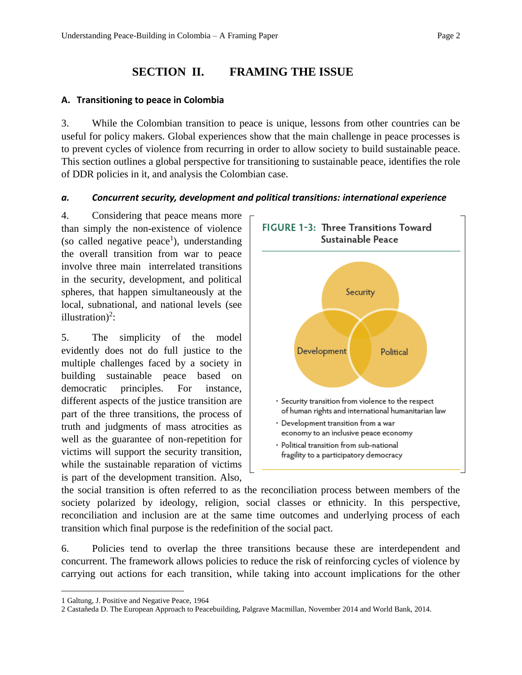# **SECTION II. FRAMING THE ISSUE**

#### **A. Transitioning to peace in Colombia**

3. While the Colombian transition to peace is unique, lessons from other countries can be useful for policy makers. Global experiences show that the main challenge in peace processes is to prevent cycles of violence from recurring in order to allow society to build sustainable peace. This section outlines a global perspective for transitioning to sustainable peace, identifies the role of DDR policies in it, and analysis the Colombian case.

#### *a. Concurrent security, development and political transitions: international experience*

4. Considering that peace means more than simply the non-existence of violence (so called negative peace<sup>1</sup>), understanding the overall transition from war to peace involve three main interrelated transitions in the security, development, and political spheres, that happen simultaneously at the local, subnational, and national levels (see illustration)<sup>2</sup>:

5. The simplicity of the model evidently does not do full justice to the multiple challenges faced by a society in building sustainable peace based on democratic principles. For instance, different aspects of the justice transition are part of the three transitions, the process of truth and judgments of mass atrocities as well as the guarantee of non-repetition for victims will support the security transition, while the sustainable reparation of victims is part of the development transition. Also,



the social transition is often referred to as the reconciliation process between members of the society polarized by ideology, religion, social classes or ethnicity. In this perspective, reconciliation and inclusion are at the same time outcomes and underlying process of each transition which final purpose is the redefinition of the social pact.

6. Policies tend to overlap the three transitions because these are interdependent and concurrent. The framework allows policies to reduce the risk of reinforcing cycles of violence by carrying out actions for each transition, while taking into account implications for the other

<sup>1</sup> Galtung, J. Positive and Negative Peace, 1964

<sup>2</sup> Castañeda D. The European Approach to Peacebuilding, Palgrave Macmillan, November 2014 and World Bank, 2014.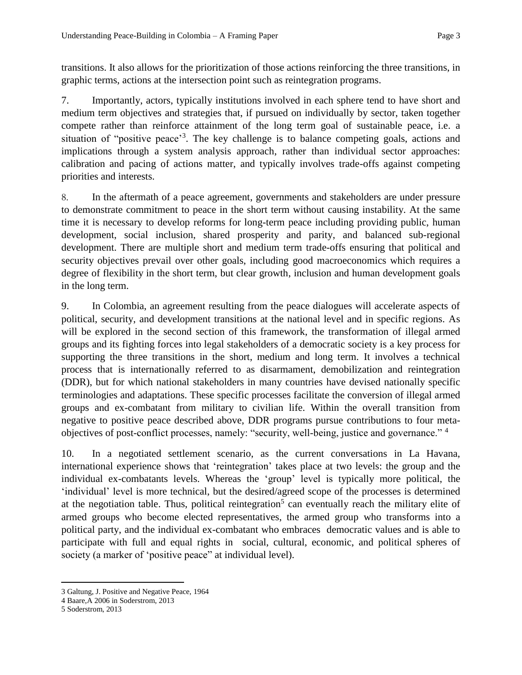transitions. It also allows for the prioritization of those actions reinforcing the three transitions, in graphic terms, actions at the intersection point such as reintegration programs.

7. Importantly, actors, typically institutions involved in each sphere tend to have short and medium term objectives and strategies that, if pursued on individually by sector, taken together compete rather than reinforce attainment of the long term goal of sustainable peace, i.e. a situation of "positive peace"<sup>3</sup>. The key challenge is to balance competing goals, actions and implications through a system analysis approach, rather than individual sector approaches: calibration and pacing of actions matter, and typically involves trade-offs against competing priorities and interests.

8. In the aftermath of a peace agreement, governments and stakeholders are under pressure to demonstrate commitment to peace in the short term without causing instability. At the same time it is necessary to develop reforms for long-term peace including providing public, human development, social inclusion, shared prosperity and parity, and balanced sub-regional development. There are multiple short and medium term trade-offs ensuring that political and security objectives prevail over other goals, including good macroeconomics which requires a degree of flexibility in the short term, but clear growth, inclusion and human development goals in the long term.

9. In Colombia, an agreement resulting from the peace dialogues will accelerate aspects of political, security, and development transitions at the national level and in specific regions. As will be explored in the second section of this framework, the transformation of illegal armed groups and its fighting forces into legal stakeholders of a democratic society is a key process for supporting the three transitions in the short, medium and long term. It involves a technical process that is internationally referred to as disarmament, demobilization and reintegration (DDR), but for which national stakeholders in many countries have devised nationally specific terminologies and adaptations. These specific processes facilitate the conversion of illegal armed groups and ex-combatant from military to civilian life. Within the overall transition from negative to positive peace described above, DDR programs pursue contributions to four metaobjectives of post-conflict processes, namely: "security, well-being, justice and governance." <sup>4</sup>

10. In a negotiated settlement scenario, as the current conversations in La Havana, international experience shows that 'reintegration' takes place at two levels: the group and the individual ex-combatants levels. Whereas the 'group' level is typically more political, the 'individual' level is more technical, but the desired/agreed scope of the processes is determined at the negotiation table. Thus, political reintegration<sup>5</sup> can eventually reach the military elite of armed groups who become elected representatives, the armed group who transforms into a political party, and the individual ex-combatant who embraces democratic values and is able to participate with full and equal rights in social, cultural, economic, and political spheres of society (a marker of 'positive peace'' at individual level).

<sup>3</sup> Galtung, J. Positive and Negative Peace, 1964

<sup>4</sup> Baare,A 2006 in Soderstrom, 2013

<sup>5</sup> Soderstrom, 2013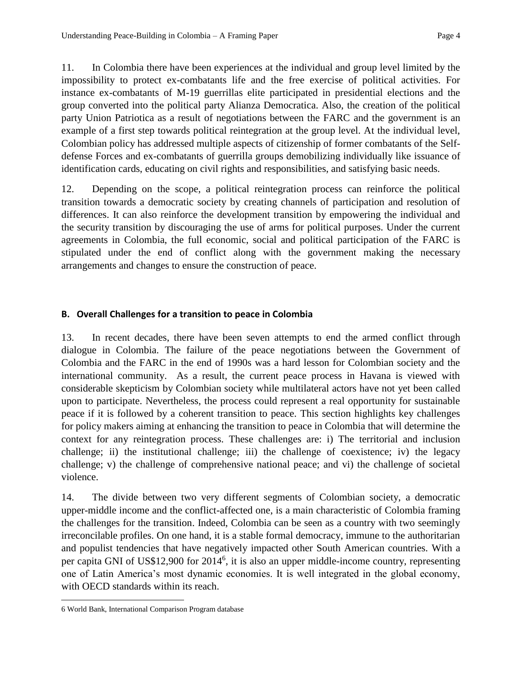11. In Colombia there have been experiences at the individual and group level limited by the impossibility to protect ex-combatants life and the free exercise of political activities. For instance ex-combatants of M-19 guerrillas elite participated in presidential elections and the group converted into the political party Alianza Democratica. Also, the creation of the political party Union Patriotica as a result of negotiations between the FARC and the government is an example of a first step towards political reintegration at the group level. At the individual level, Colombian policy has addressed multiple aspects of citizenship of former combatants of the Selfdefense Forces and ex-combatants of guerrilla groups demobilizing individually like issuance of identification cards, educating on civil rights and responsibilities, and satisfying basic needs.

12. Depending on the scope, a political reintegration process can reinforce the political transition towards a democratic society by creating channels of participation and resolution of differences. It can also reinforce the development transition by empowering the individual and the security transition by discouraging the use of arms for political purposes. Under the current agreements in Colombia, the full economic, social and political participation of the FARC is stipulated under the end of conflict along with the government making the necessary arrangements and changes to ensure the construction of peace.

#### **B. Overall Challenges for a transition to peace in Colombia**

13. In recent decades, there have been seven attempts to end the armed conflict through dialogue in Colombia. The failure of the peace negotiations between the Government of Colombia and the FARC in the end of 1990s was a hard lesson for Colombian society and the international community. As a result, the current peace process in Havana is viewed with considerable skepticism by Colombian society while multilateral actors have not yet been called upon to participate. Nevertheless, the process could represent a real opportunity for sustainable peace if it is followed by a coherent transition to peace. This section highlights key challenges for policy makers aiming at enhancing the transition to peace in Colombia that will determine the context for any reintegration process. These challenges are: i) The territorial and inclusion challenge; ii) the institutional challenge; iii) the challenge of coexistence; iv) the legacy challenge; v) the challenge of comprehensive national peace; and vi) the challenge of societal violence.

14. The divide between two very different segments of Colombian society, a democratic upper-middle income and the conflict-affected one, is a main characteristic of Colombia framing the challenges for the transition. Indeed, Colombia can be seen as a country with two seemingly irreconcilable profiles. On one hand, it is a stable formal democracy, immune to the authoritarian and populist tendencies that have negatively impacted other South American countries. With a per capita GNI of US\$12,900 for 2014<sup>6</sup>, it is also an upper middle-income country, representing one of Latin America's most dynamic economies. It is well integrated in the global economy, with OECD standards within its reach.

<sup>6</sup> World Bank, International Comparison Program database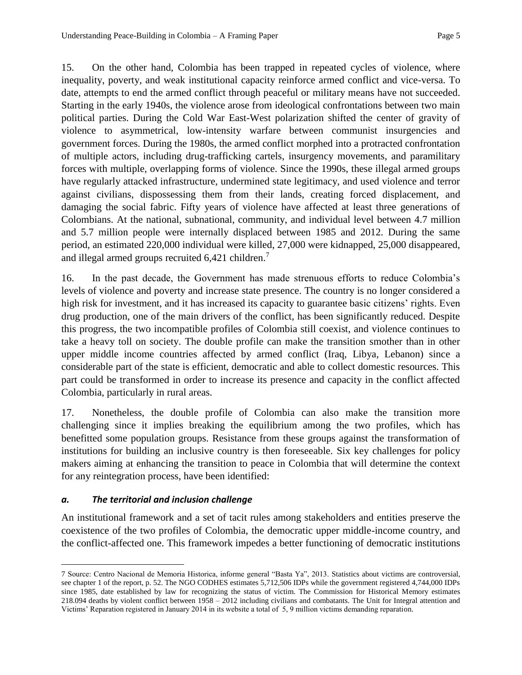15. On the other hand, Colombia has been trapped in repeated cycles of violence, where inequality, poverty, and weak institutional capacity reinforce armed conflict and vice-versa. To date, attempts to end the armed conflict through peaceful or military means have not succeeded. Starting in the early 1940s, the violence arose from ideological confrontations between two main political parties. During the Cold War East-West polarization shifted the center of gravity of violence to asymmetrical, low-intensity warfare between communist insurgencies and government forces. During the 1980s, the armed conflict morphed into a protracted confrontation of multiple actors, including drug-trafficking cartels, insurgency movements, and paramilitary forces with multiple, overlapping forms of violence. Since the 1990s, these illegal armed groups have regularly attacked infrastructure, undermined state legitimacy, and used violence and terror against civilians, dispossessing them from their lands, creating forced displacement, and damaging the social fabric. Fifty years of violence have affected at least three generations of Colombians. At the national, subnational, community, and individual level between 4.7 million and 5.7 million people were internally displaced between 1985 and 2012. During the same period, an estimated 220,000 individual were killed, 27,000 were kidnapped, 25,000 disappeared, and illegal armed groups recruited 6,421 children.<sup>7</sup>

16. In the past decade, the Government has made strenuous efforts to reduce Colombia's levels of violence and poverty and increase state presence. The country is no longer considered a high risk for investment, and it has increased its capacity to guarantee basic citizens' rights. Even drug production, one of the main drivers of the conflict, has been significantly reduced. Despite this progress, the two incompatible profiles of Colombia still coexist, and violence continues to take a heavy toll on society. The double profile can make the transition smother than in other upper middle income countries affected by armed conflict (Iraq, Libya, Lebanon) since a considerable part of the state is efficient, democratic and able to collect domestic resources. This part could be transformed in order to increase its presence and capacity in the conflict affected Colombia, particularly in rural areas.

17. Nonetheless, the double profile of Colombia can also make the transition more challenging since it implies breaking the equilibrium among the two profiles, which has benefitted some population groups. Resistance from these groups against the transformation of institutions for building an inclusive country is then foreseeable. Six key challenges for policy makers aiming at enhancing the transition to peace in Colombia that will determine the context for any reintegration process, have been identified:

#### *a. The territorial and inclusion challenge*

 $\overline{a}$ 

An institutional framework and a set of tacit rules among stakeholders and entities preserve the coexistence of the two profiles of Colombia, the democratic upper middle-income country, and the conflict-affected one. This framework impedes a better functioning of democratic institutions

<sup>7</sup> Source: Centro Nacional de Memoria Historica, informe general "Basta Ya", 2013. Statistics about victims are controversial, see chapter 1 of the report, p. 52. The NGO CODHES estimates 5,712,506 IDPs while the government registered 4,744,000 IDPs since 1985, date established by law for recognizing the status of victim. The Commission for Historical Memory estimates 218.094 deaths by violent conflict between 1958 – 2012 including civilians and combatants. The Unit for Integral attention and Victims' Reparation registered in January 2014 in its website a total of 5, 9 million victims demanding reparation.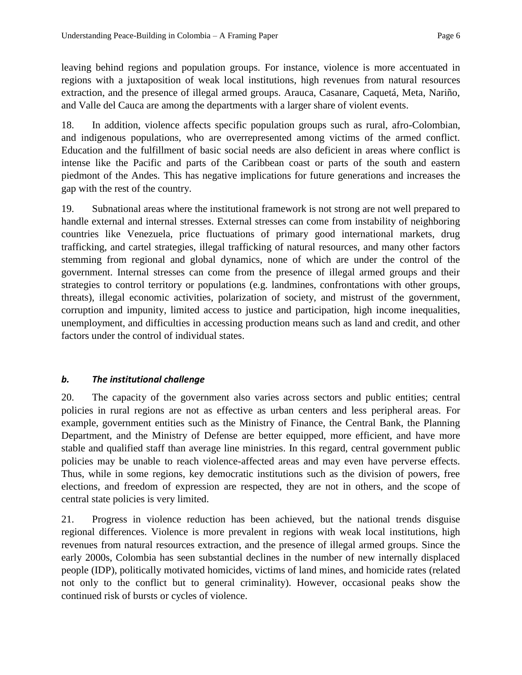leaving behind regions and population groups. For instance, violence is more accentuated in regions with a juxtaposition of weak local institutions, high revenues from natural resources extraction, and the presence of illegal armed groups. Arauca, Casanare, Caquetá, Meta, Nariño, and Valle del Cauca are among the departments with a larger share of violent events.

18. In addition, violence affects specific population groups such as rural, afro-Colombian, and indigenous populations, who are overrepresented among victims of the armed conflict. Education and the fulfillment of basic social needs are also deficient in areas where conflict is intense like the Pacific and parts of the Caribbean coast or parts of the south and eastern piedmont of the Andes. This has negative implications for future generations and increases the gap with the rest of the country.

19. Subnational areas where the institutional framework is not strong are not well prepared to handle external and internal stresses. External stresses can come from instability of neighboring countries like Venezuela, price fluctuations of primary good international markets, drug trafficking, and cartel strategies, illegal trafficking of natural resources, and many other factors stemming from regional and global dynamics, none of which are under the control of the government. Internal stresses can come from the presence of illegal armed groups and their strategies to control territory or populations (e.g. landmines, confrontations with other groups, threats), illegal economic activities, polarization of society, and mistrust of the government, corruption and impunity, limited access to justice and participation, high income inequalities, unemployment, and difficulties in accessing production means such as land and credit, and other factors under the control of individual states.

#### *b. The institutional challenge*

20. The capacity of the government also varies across sectors and public entities; central policies in rural regions are not as effective as urban centers and less peripheral areas. For example, government entities such as the Ministry of Finance, the Central Bank, the Planning Department, and the Ministry of Defense are better equipped, more efficient, and have more stable and qualified staff than average line ministries. In this regard, central government public policies may be unable to reach violence-affected areas and may even have perverse effects. Thus, while in some regions, key democratic institutions such as the division of powers, free elections, and freedom of expression are respected, they are not in others, and the scope of central state policies is very limited.

21. Progress in violence reduction has been achieved, but the national trends disguise regional differences. Violence is more prevalent in regions with weak local institutions, high revenues from natural resources extraction, and the presence of illegal armed groups. Since the early 2000s, Colombia has seen substantial declines in the number of new internally displaced people (IDP), politically motivated homicides, victims of land mines, and homicide rates (related not only to the conflict but to general criminality). However, occasional peaks show the continued risk of bursts or cycles of violence.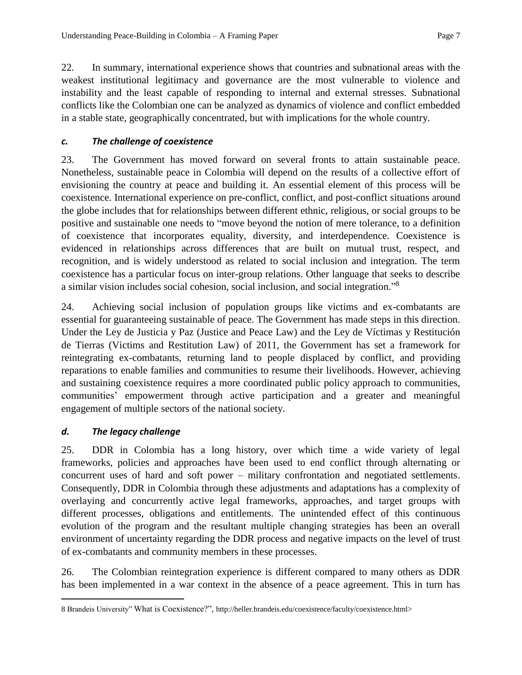22. In summary, international experience shows that countries and subnational areas with the weakest institutional legitimacy and governance are the most vulnerable to violence and instability and the least capable of responding to internal and external stresses. Subnational conflicts like the Colombian one can be analyzed as dynamics of violence and conflict embedded in a stable state, geographically concentrated, but with implications for the whole country.

#### *c. The challenge of coexistence*

23. The Government has moved forward on several fronts to attain sustainable peace. Nonetheless, sustainable peace in Colombia will depend on the results of a collective effort of envisioning the country at peace and building it. An essential element of this process will be coexistence. International experience on pre-conflict, conflict, and post-conflict situations around the globe includes that for relationships between different ethnic, religious, or social groups to be positive and sustainable one needs to "move beyond the notion of mere tolerance, to a definition of coexistence that incorporates equality, diversity, and interdependence. Coexistence is evidenced in relationships across differences that are built on mutual trust, respect, and recognition, and is widely understood as related to social inclusion and integration. The term coexistence has a particular focus on inter-group relations. Other language that seeks to describe a similar vision includes social cohesion, social inclusion, and social integration."<sup>8</sup>

24. Achieving social inclusion of population groups like victims and ex-combatants are essential for guaranteeing sustainable of peace. The Government has made steps in this direction. Under the Ley de Justicia y Paz (Justice and Peace Law) and the Ley de Víctimas y Restitución de Tierras (Victims and Restitution Law) of 2011, the Government has set a framework for reintegrating ex-combatants, returning land to people displaced by conflict, and providing reparations to enable families and communities to resume their livelihoods. However, achieving and sustaining coexistence requires a more coordinated public policy approach to communities, communities' empowerment through active participation and a greater and meaningful engagement of multiple sectors of the national society.

#### *d. The legacy challenge*

 $\overline{a}$ 

25. DDR in Colombia has a long history, over which time a wide variety of legal frameworks, policies and approaches have been used to end conflict through alternating or concurrent uses of hard and soft power – military confrontation and negotiated settlements. Consequently, DDR in Colombia through these adjustments and adaptations has a complexity of overlaying and concurrently active legal frameworks, approaches, and target groups with different processes, obligations and entitlements. The unintended effect of this continuous evolution of the program and the resultant multiple changing strategies has been an overall environment of uncertainty regarding the DDR process and negative impacts on the level of trust of ex-combatants and community members in these processes.

26. The Colombian reintegration experience is different compared to many others as DDR has been implemented in a war context in the absence of a peace agreement. This in turn has

<sup>8</sup> Brandeis University" What is Coexistence?", http://heller.brandeis.edu/coexistence/faculty/coexistence.html>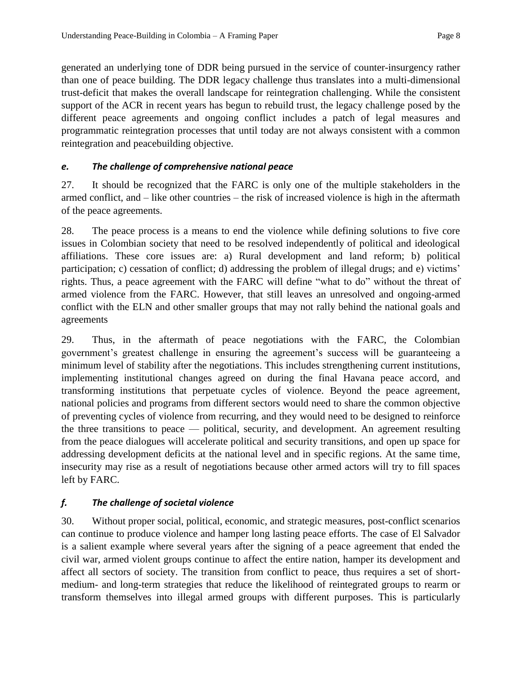generated an underlying tone of DDR being pursued in the service of counter-insurgency rather than one of peace building. The DDR legacy challenge thus translates into a multi-dimensional trust-deficit that makes the overall landscape for reintegration challenging. While the consistent support of the ACR in recent years has begun to rebuild trust, the legacy challenge posed by the different peace agreements and ongoing conflict includes a patch of legal measures and programmatic reintegration processes that until today are not always consistent with a common reintegration and peacebuilding objective.

#### *e. The challenge of comprehensive national peace*

27. It should be recognized that the FARC is only one of the multiple stakeholders in the armed conflict, and – like other countries – the risk of increased violence is high in the aftermath of the peace agreements.

28. The peace process is a means to end the violence while defining solutions to five core issues in Colombian society that need to be resolved independently of political and ideological affiliations. These core issues are: a) Rural development and land reform; b) political participation; c) cessation of conflict; d) addressing the problem of illegal drugs; and e) victims' rights. Thus, a peace agreement with the FARC will define "what to do" without the threat of armed violence from the FARC. However, that still leaves an unresolved and ongoing-armed conflict with the ELN and other smaller groups that may not rally behind the national goals and agreements

29. Thus, in the aftermath of peace negotiations with the FARC, the Colombian government's greatest challenge in ensuring the agreement's success will be guaranteeing a minimum level of stability after the negotiations. This includes strengthening current institutions, implementing institutional changes agreed on during the final Havana peace accord, and transforming institutions that perpetuate cycles of violence. Beyond the peace agreement, national policies and programs from different sectors would need to share the common objective of preventing cycles of violence from recurring, and they would need to be designed to reinforce the three transitions to peace — political, security, and development. An agreement resulting from the peace dialogues will accelerate political and security transitions, and open up space for addressing development deficits at the national level and in specific regions. At the same time, insecurity may rise as a result of negotiations because other armed actors will try to fill spaces left by FARC.

### *f. The challenge of societal violence*

30. Without proper social, political, economic, and strategic measures, post-conflict scenarios can continue to produce violence and hamper long lasting peace efforts. The case of El Salvador is a salient example where several years after the signing of a peace agreement that ended the civil war, armed violent groups continue to affect the entire nation, hamper its development and affect all sectors of society. The transition from conflict to peace, thus requires a set of shortmedium- and long-term strategies that reduce the likelihood of reintegrated groups to rearm or transform themselves into illegal armed groups with different purposes. This is particularly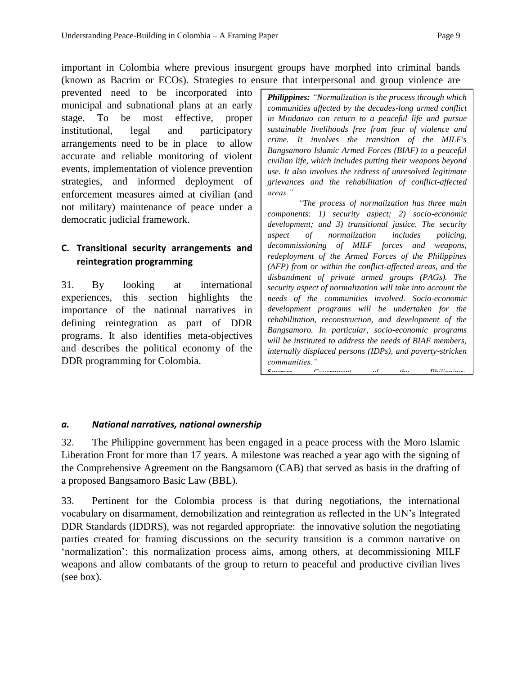important in Colombia where previous insurgent groups have morphed into criminal bands (known as Bacrim or ECOs). Strategies to ensure that interpersonal and group violence are

prevented need to be incorporated into municipal and subnational plans at an early stage. To be most effective, proper institutional, legal and participatory arrangements need to be in place to allow accurate and reliable monitoring of violent events, implementation of violence prevention strategies, and informed deployment of enforcement measures aimed at civilian (and not military) maintenance of peace under a democratic judicial framework.

## **C. Transitional security arrangements and reintegration programming**

31. By looking at international experiences, this section highlights the importance of the national narratives in defining reintegration as part of DDR programs. It also identifies meta-objectives and describes the political economy of the DDR programming for Colombia.

*Philippines: "Normalization is the process through which communities affected by the decades-long armed conflict in Mindanao can return to a peaceful life and pursue sustainable livelihoods free from fear of violence and crime. It involves the transition of the MILF's Bangsamoro Islamic Armed Forces (BIAF) to a peaceful civilian life, which includes putting their weapons beyond use. It also involves the redress of unresolved legitimate grievances and the rehabilitation of conflict-affected areas."* 

*"The process of normalization has three main components: 1) security aspect; 2) socio-economic development; and 3) transitional justice. The security aspect of normalization includes policing, decommissioning of MILF forces and weapons, redeployment of the Armed Forces of the Philippines (AFP) from or within the conflict-affected areas, and the disbandment of private armed groups (PAGs). The security aspect of normalization will take into account the needs of the communities involved. Socio-economic development programs will be undertaken for the rehabilitation, reconstruction, and development of the Bangsamoro. In particular, socio-economic programs will be instituted to address the needs of BIAF members, internally displaced persons (IDPs), and poverty-stricken communities." Source: Government of the Philippines,* 

#### *a. National narratives, national ownership*

32. The Philippine government has been engaged in a peace process with the Moro Islamic Liberation Front for more than 17 years. A milestone was reached a year ago with the signing of the Comprehensive Agreement on the Bangsamoro (CAB) that served as basis in the drafting of a proposed Bangsamoro Basic Law (BBL).

33. Pertinent for the Colombia process is that during negotiations, the international vocabulary on disarmament, demobilization and reintegration as reflected in the UN's Integrated DDR Standards (IDDRS), was not regarded appropriate: the innovative solution the negotiating parties created for framing discussions on the security transition is a common narrative on 'normalization': this normalization process aims, among others, at decommissioning MILF weapons and allow combatants of the group to return to peaceful and productive civilian lives (see box).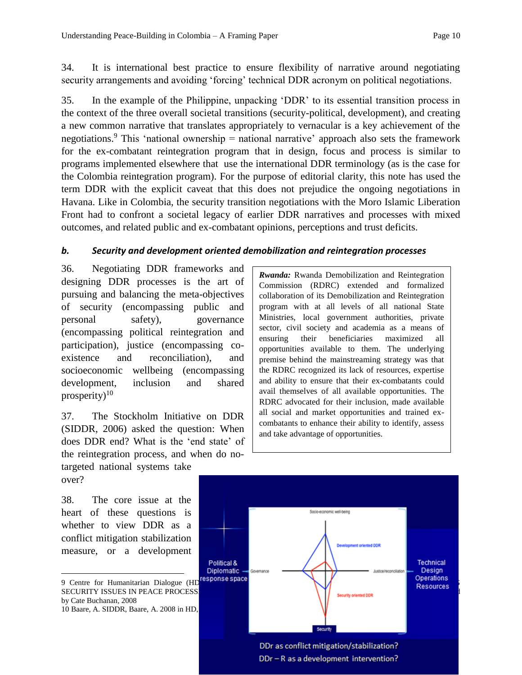34. It is international best practice to ensure flexibility of narrative around negotiating security arrangements and avoiding 'forcing' technical DDR acronym on political negotiations.

35. In the example of the Philippine, unpacking 'DDR' to its essential transition process in the context of the three overall societal transitions (security-political, development), and creating a new common narrative that translates appropriately to vernacular is a key achievement of the negotiations.<sup>9</sup> This 'national ownership = national narrative' approach also sets the framework for the ex-combatant reintegration program that in design, focus and process is similar to programs implemented elsewhere that use the international DDR terminology (as is the case for the Colombia reintegration program). For the purpose of editorial clarity, this note has used the term DDR with the explicit caveat that this does not prejudice the ongoing negotiations in Havana. Like in Colombia, the security transition negotiations with the Moro Islamic Liberation Front had to confront a societal legacy of earlier DDR narratives and processes with mixed outcomes, and related public and ex-combatant opinions, perceptions and trust deficits.

#### *b. Security and development oriented demobilization and reintegration processes*

36. Negotiating DDR frameworks and designing DDR processes is the art of pursuing and balancing the meta-objectives of security (encompassing public and personal safety), governance (encompassing political reintegration and participation), justice (encompassing coexistence and reconciliation), and socioeconomic wellbeing (encompassing development, inclusion and shared prosperity) $10$ 

37. The Stockholm Initiative on DDR (SIDDR, 2006) asked the question: When does DDR end? What is the 'end state' of the reintegration process, and when do no-

targeted national systems take over?

38. The core issue at the heart of these questions is whether to view DDR as a conflict mitigation stabilization measure, or a development

 $\overline{a}$ 

*Rwanda:* Rwanda Demobilization and Reintegration Commission (RDRC) extended and formalized collaboration of its Demobilization and Reintegration program with at all levels of all national State Ministries, local government authorities, private sector, civil society and academia as a means of ensuring their beneficiaries maximized all opportunities available to them. The underlying premise behind the mainstreaming strategy was that the RDRC recognized its lack of resources, expertise and ability to ensure that their ex-combatants could avail themselves of all available opportunities. The RDRC advocated for their inclusion, made available all social and market opportunities and trained excombatants to enhance their ability to identify, assess and take advantage of opportunities.



by Cate Buchanan, 2008 10 Baare, A. SIDDR, Baare, A. 2008 in HD,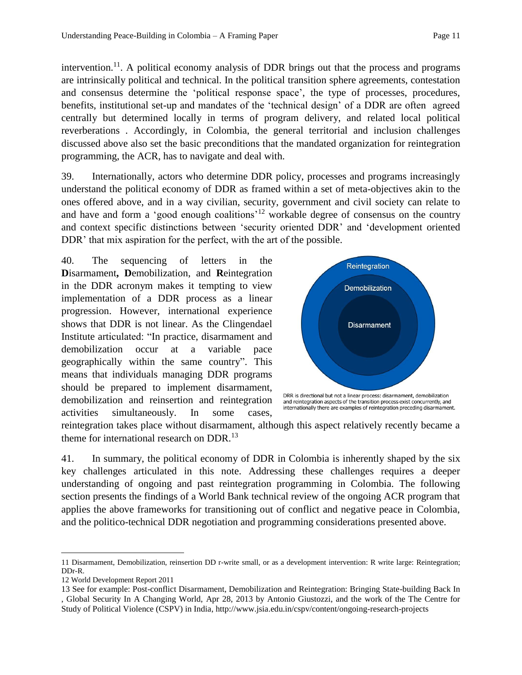intervention.<sup>11</sup>. A political economy analysis of DDR brings out that the process and programs are intrinsically political and technical. In the political transition sphere agreements, contestation and consensus determine the 'political response space', the type of processes, procedures, benefits, institutional set-up and mandates of the 'technical design' of a DDR are often agreed centrally but determined locally in terms of program delivery, and related local political reverberations . Accordingly, in Colombia, the general territorial and inclusion challenges discussed above also set the basic preconditions that the mandated organization for reintegration programming, the ACR, has to navigate and deal with.

39. Internationally, actors who determine DDR policy, processes and programs increasingly understand the political economy of DDR as framed within a set of meta-objectives akin to the ones offered above, and in a way civilian, security, government and civil society can relate to and have and form a 'good enough coalitions'<sup>12</sup> workable degree of consensus on the country and context specific distinctions between 'security oriented DDR' and 'development oriented DDR' that mix aspiration for the perfect, with the art of the possible.

40. The sequencing of letters in the **D**isarmament**, D**emobilization, and **R**eintegration in the DDR acronym makes it tempting to view implementation of a DDR process as a linear progression. However, international experience shows that DDR is not linear. As the Clingendael Institute articulated: "In practice, disarmament and demobilization occur at a variable pace geographically within the same country". This means that individuals managing DDR programs should be prepared to implement disarmament, demobilization and reinsertion and reintegration activities simultaneously. In some cases,



and reintegration aspects of the transition process exist concurrently, and internationally there are examples of reintegration preceding disarmament.

reintegration takes place without disarmament, although this aspect relatively recently became a theme for international research on DDR.<sup>13</sup>

41. In summary, the political economy of DDR in Colombia is inherently shaped by the six key challenges articulated in this note. Addressing these challenges requires a deeper understanding of ongoing and past reintegration programming in Colombia. The following section presents the findings of a World Bank technical review of the ongoing ACR program that applies the above frameworks for transitioning out of conflict and negative peace in Colombia, and the politico-technical DDR negotiation and programming considerations presented above.

<sup>11</sup> Disarmament, Demobilization, reinsertion DD r-write small, or as a development intervention: R write large: Reintegration; DDr-R.

<sup>12</sup> World Development Report 2011

<sup>13</sup> See for example: Post-conflict Disarmament, Demobilization and Reintegration: Bringing State-building Back In , Global Security In A Changing World, Apr 28, 2013 by Antonio Giustozzi, and the work of the The Centre for Study of Political Violence (CSPV) in India, <http://www.jsia.edu.in/cspv/content/ongoing-research-projects>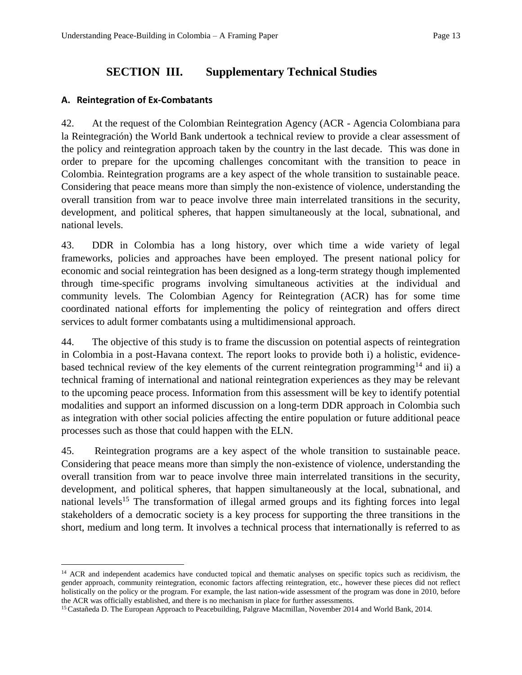# **SECTION III. Supplementary Technical Studies**

#### **A. Reintegration of Ex-Combatants**

 $\overline{a}$ 

42. At the request of the Colombian Reintegration Agency (ACR - Agencia Colombiana para la Reintegración) the World Bank undertook a technical review to provide a clear assessment of the policy and reintegration approach taken by the country in the last decade. This was done in order to prepare for the upcoming challenges concomitant with the transition to peace in Colombia. Reintegration programs are a key aspect of the whole transition to sustainable peace. Considering that peace means more than simply the non-existence of violence, understanding the overall transition from war to peace involve three main interrelated transitions in the security, development, and political spheres, that happen simultaneously at the local, subnational, and national levels.

43. DDR in Colombia has a long history, over which time a wide variety of legal frameworks, policies and approaches have been employed. The present national policy for economic and social reintegration has been designed as a long-term strategy though implemented through time-specific programs involving simultaneous activities at the individual and community levels. The Colombian Agency for Reintegration (ACR) has for some time coordinated national efforts for implementing the policy of reintegration and offers direct services to adult former combatants using a multidimensional approach.

44. The objective of this study is to frame the discussion on potential aspects of reintegration in Colombia in a post-Havana context. The report looks to provide both i) a holistic, evidencebased technical review of the key elements of the current reintegration programming<sup>14</sup> and ii) a technical framing of international and national reintegration experiences as they may be relevant to the upcoming peace process. Information from this assessment will be key to identify potential modalities and support an informed discussion on a long-term DDR approach in Colombia such as integration with other social policies affecting the entire population or future additional peace processes such as those that could happen with the ELN.

45. Reintegration programs are a key aspect of the whole transition to sustainable peace. Considering that peace means more than simply the non-existence of violence, understanding the overall transition from war to peace involve three main interrelated transitions in the security, development, and political spheres, that happen simultaneously at the local, subnational, and national levels<sup>15</sup> The transformation of illegal armed groups and its fighting forces into legal stakeholders of a democratic society is a key process for supporting the three transitions in the short, medium and long term. It involves a technical process that internationally is referred to as

<sup>&</sup>lt;sup>14</sup> ACR and independent academics have conducted topical and thematic analyses on specific topics such as recidivism, the gender approach, community reintegration, economic factors affecting reintegration, etc., however these pieces did not reflect holistically on the policy or the program. For example, the last nation-wide assessment of the program was done in 2010, before the ACR was officially established, and there is no mechanism in place for further assessments.

<sup>&</sup>lt;sup>15</sup> Castañeda D. The European Approach to Peacebuilding, Palgrave Macmillan, November 2014 and World Bank, 2014.